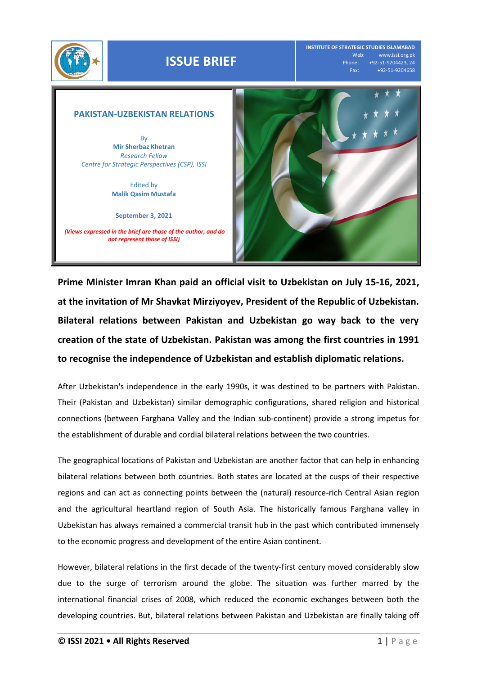

## **ISSUE BRIEF**

**INSTITUTE OF STRATEGIC STUDIES ISLAMABAD** Web: www.issi.org.pk<br>Phone: +92-51-9204423, 24 one: +92-51-9204423, 24<br>Fax: +92-51-9204658 Fax: +92-51-9204658

## **PAKISTAN-UZBEKISTAN RELATIONS**

By **Mir Sherbaz Khetran** *Research Fellow Centre for Strategic Perspectives (CSP), ISSI*

> Edited by **Malik Qasim Mustafa**

**September 3, 2021** 

*(Views expressed in the brief are those of the author, and do not represent those of ISSI)*



**Prime Minister Imran Khan paid an official visit to Uzbekistan on July 15-16, 2021, at the invitation of Mr Shavkat Mirziyoyev, President of the Republic of Uzbekistan. Bilateral relations between Pakistan and Uzbekistan go way back to the very creation of the state of Uzbekistan. Pakistan was among the first countries in 1991 to recognise the independence of Uzbekistan and establish diplomatic relations.**

After Uzbekistan's independence in the early 1990s, it was destined to be partners with Pakistan. Their (Pakistan and Uzbekistan) similar demographic configurations, shared religion and historical connections (between Farghana Valley and the Indian sub-continent) provide a strong impetus for the establishment of durable and cordial bilateral relations between the two countries.

The geographical locations of Pakistan and Uzbekistan are another factor that can help in enhancing bilateral relations between both countries. Both states are located at the cusps of their respective regions and can act as connecting points between the (natural) resource-rich Central Asian region and the agricultural heartland region of South Asia. The historically famous Farghana valley in Uzbekistan has always remained a commercial transit hub in the past which contributed immensely to the economic progress and development of the entire Asian continent.

However, bilateral relations in the first decade of the twenty-first century moved considerably slow due to the surge of terrorism around the globe. The situation was further marred by the international financial crises of 2008, which reduced the economic exchanges between both the developing countries. But, bilateral relations between Pakistan and Uzbekistan are finally taking off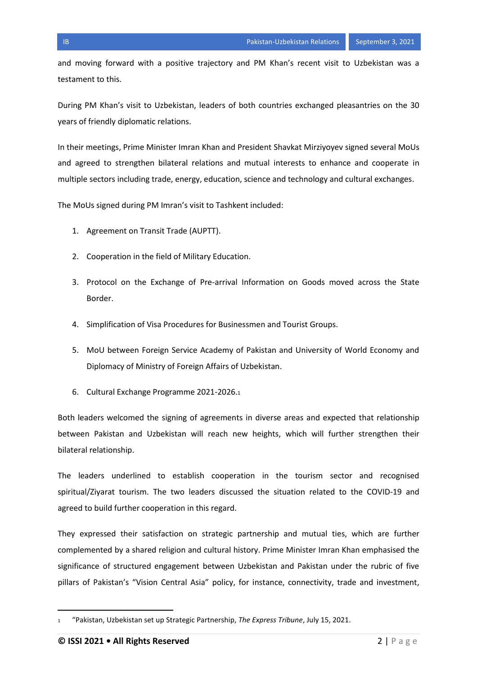and moving forward with a positive trajectory and PM Khan's recent visit to Uzbekistan was a testament to this.

During PM Khan's visit to Uzbekistan, leaders of both countries exchanged pleasantries on the 30 years of friendly diplomatic relations.

In their meetings, Prime Minister Imran Khan and President Shavkat Mirziyoyev signed several MoUs and agreed to strengthen bilateral relations and mutual interests to enhance and cooperate in multiple sectors including trade, energy, education, science and technology and cultural exchanges.

The MoUs signed during PM Imran's visit to Tashkent included:

- 1. Agreement on Transit Trade (AUPTT).
- 2. Cooperation in the field of Military Education.
- 3. Protocol on the Exchange of Pre-arrival Information on Goods moved across the State Border.
- 4. Simplification of Visa Procedures for Businessmen and Tourist Groups.
- 5. MoU between Foreign Service Academy of Pakistan and University of World Economy and Diplomacy of Ministry of Foreign Affairs of Uzbekistan.
- 6. Cultural Exchange Programme 2021-2026.<sup>1</sup>

Both leaders welcomed the signing of agreements in diverse areas and expected that relationship between Pakistan and Uzbekistan will reach new heights, which will further strengthen their bilateral relationship.

The leaders underlined to establish cooperation in the tourism sector and recognised spiritual/Ziyarat tourism. The two leaders discussed the situation related to the COVID-19 and agreed to build further cooperation in this regard.

They expressed their satisfaction on strategic partnership and mutual ties, which are further complemented by a shared religion and cultural history. Prime Minister Imran Khan emphasised the significance of structured engagement between Uzbekistan and Pakistan under the rubric of five pillars of Pakistan's "Vision Central Asia" policy, for instance, connectivity, trade and investment,

 $\overline{a}$ 

<sup>1</sup> "Pakistan, Uzbekistan set up Strategic Partnership, *The Express Tribune*, July 15, 2021.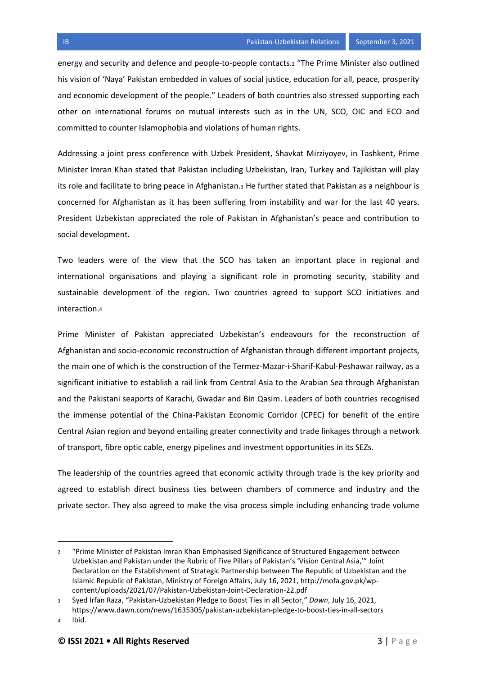Addressing a joint press conference with Uzbek President, Shavkat Mirziyoyev, in Tashkent, Prime Minister Imran Khan stated that Pakistan including Uzbekistan, Iran, Turkey and Tajikistan will play its role and facilitate to bring peace in Afghanistan.<sup>3</sup> He further stated that Pakistan as a neighbour is concerned for Afghanistan as it has been suffering from instability and war for the last 40 years. President Uzbekistan appreciated the role of Pakistan in Afghanistan's peace and contribution to social development.

Two leaders were of the view that the SCO has taken an important place in regional and international organisations and playing a significant role in promoting security, stability and sustainable development of the region. Two countries agreed to support SCO initiatives and interaction.<sup>4</sup>

Prime Minister of Pakistan appreciated Uzbekistan's endeavours for the reconstruction of Afghanistan and socio-economic reconstruction of Afghanistan through different important projects, the main one of which is the construction of the Termez-Mazar-i-Sharif-Kabul-Peshawar railway, as a significant initiative to establish a rail link from Central Asia to the Arabian Sea through Afghanistan and the Pakistani seaports of Karachi, Gwadar and Bin Qasim. Leaders of both countries recognised the immense potential of the China-Pakistan Economic Corridor (CPEC) for benefit of the entire Central Asian region and beyond entailing greater connectivity and trade linkages through a network of transport, fibre optic cable, energy pipelines and investment opportunities in its SEZs.

The leadership of the countries agreed that economic activity through trade is the key priority and agreed to establish direct business ties between chambers of commerce and industry and the private sector. They also agreed to make the visa process simple including enhancing trade volume

 $\overline{a}$ 

<sup>2</sup> "Prime Minister of Pakistan Imran Khan Emphasised Significance of Structured Engagement between Uzbekistan and Pakistan under the Rubric of Five Pillars of Pakistan's 'Vision Central Asia,'" Joint Declaration on the Establishment of Strategic Partnership between The Republic of Uzbekistan and the Islamic Republic of Pakistan, Ministry of Foreign Affairs, July 16, 2021, http://mofa.gov.pk/wpcontent/uploads/2021/07/Pakistan-Uzbekistan-Joint-Declaration-22.pdf

<sup>3</sup> Syed Irfan Raza, "Pakistan-Uzbekistan Pledge to Boost Ties in all Sector," *Dawn*, July 16, 2021,

https://www.dawn.com/news/1635305/pakistan-uzbekistan-pledge-to-boost-ties-in-all-sectors <sup>4</sup> Ibid.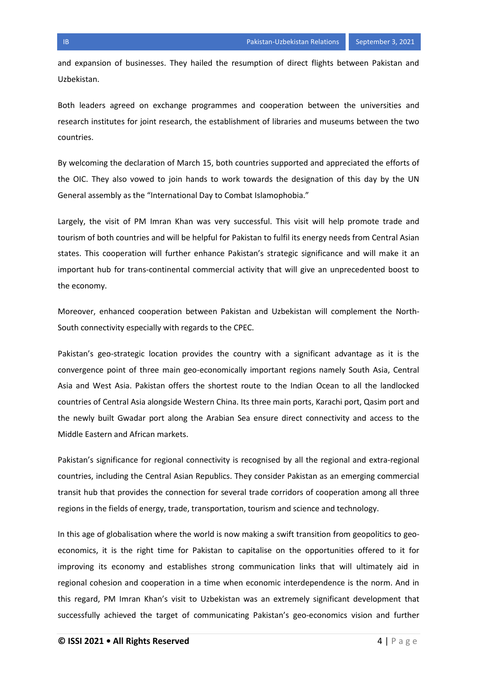and expansion of businesses. They hailed the resumption of direct flights between Pakistan and Uzbekistan.

Both leaders agreed on exchange programmes and cooperation between the universities and research institutes for joint research, the establishment of libraries and museums between the two countries.

By welcoming the declaration of March 15, both countries supported and appreciated the efforts of the OIC. They also vowed to join hands to work towards the designation of this day by the UN General assembly as the "International Day to Combat Islamophobia."

Largely, the visit of PM Imran Khan was very successful. This visit will help promote trade and tourism of both countries and will be helpful for Pakistan to fulfil its energy needs from Central Asian states. This cooperation will further enhance Pakistan's strategic significance and will make it an important hub for trans-continental commercial activity that will give an unprecedented boost to the economy.

Moreover, enhanced cooperation between Pakistan and Uzbekistan will complement the North-South connectivity especially with regards to the CPEC.

Pakistan's geo-strategic location provides the country with a significant advantage as it is the convergence point of three main geo-economically important regions namely South Asia, Central Asia and West Asia. Pakistan offers the shortest route to the Indian Ocean to all the landlocked countries of Central Asia alongside Western China. Its three main ports, Karachi port, Qasim port and the newly built Gwadar port along the Arabian Sea ensure direct connectivity and access to the Middle Eastern and African markets.

Pakistan's significance for regional connectivity is recognised by all the regional and extra-regional countries, including the Central Asian Republics. They consider Pakistan as an emerging commercial transit hub that provides the connection for several trade corridors of cooperation among all three regions in the fields of energy, trade, transportation, tourism and science and technology.

In this age of globalisation where the world is now making a swift transition from geopolitics to geoeconomics, it is the right time for Pakistan to capitalise on the opportunities offered to it for improving its economy and establishes strong communication links that will ultimately aid in regional cohesion and cooperation in a time when economic interdependence is the norm. And in this regard, PM Imran Khan's visit to Uzbekistan was an extremely significant development that successfully achieved the target of communicating Pakistan's geo-economics vision and further